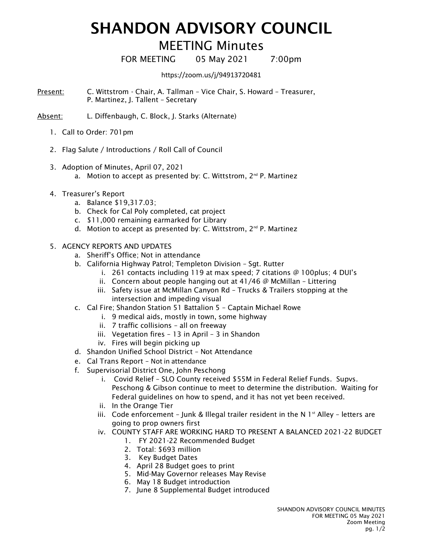## SHANDON ADVISORY COUNCIL

## MEETING Minutes

FOR MEETING 05 May 2021 7:00pm

https://zoom.us/j/94913720481

Present: C. Wittstrom - Chair, A. Tallman – Vice Chair, S. Howard – Treasurer, P. Martinez, J. Tallent – Secretary

Absent: L. Diffenbaugh, C. Block, J. Starks (Alternate)

- 1. Call to Order: 701pm
- 2. Flag Salute / Introductions / Roll Call of Council
- 3. Adoption of Minutes, April 07, 2021
	- a. Motion to accept as presented by: C. Wittstrom,  $2<sup>nd</sup>$  P. Martinez
- 4. Treasurer's Report
	- a. Balance \$19,317.03;
	- b. Check for Cal Poly completed, cat project
	- c. \$11,000 remaining earmarked for Library
	- d. Motion to accept as presented by: C. Wittstrom, 2<sup>nd</sup> P. Martinez
- 5. AGENCY REPORTS AND UPDATES
	- a. Sheriff's Office; Not in attendance
	- b. California Highway Patrol; Templeton Division Sgt. Rutter
		- i. 261 contacts including 119 at max speed; 7 citations @ 100plus; 4 DUI's
		- ii. Concern about people hanging out at 41/46 @ McMillan Littering
		- iii. Safety issue at McMillan Canyon Rd Trucks & Trailers stopping at the intersection and impeding visual
	- c. Cal Fire; Shandon Station 51 Battalion 5 Captain Michael Rowe
		- i. 9 medical aids, mostly in town, some highway
		- ii. 7 traffic collisions all on freeway
		- iii. Vegetation fires 13 in April 3 in Shandon
		- iv. Fires will begin picking up
	- d. Shandon Unified School District Not Attendance
	- e. Cal Trans Report Not in attendance
	- f. Supervisorial District One, John Peschong
		- i. Covid Relief SLO County received \$55M in Federal Relief Funds. Supvs. Peschong & Gibson continue to meet to determine the distribution. Waiting for Federal guidelines on how to spend, and it has not yet been received.
		- ii. In the Orange Tier
		- iii. Code enforcement Junk & Illegal trailer resident in the N  $1<sup>st</sup>$  Alley letters are going to prop owners first
		- iv. COUNTY STAFF ARE WORKING HARD TO PRESENT A BALANCED 2021-22 BUDGET
			- 1. FY 2021-22 Recommended Budget
			- 2. Total: \$693 million
			- 3. Key Budget Dates
			- 4. April 28 Budget goes to print
			- 5. Mid-May Governor releases May Revise
			- 6. May 18 Budget introduction
			- 7. June 8 Supplemental Budget introduced